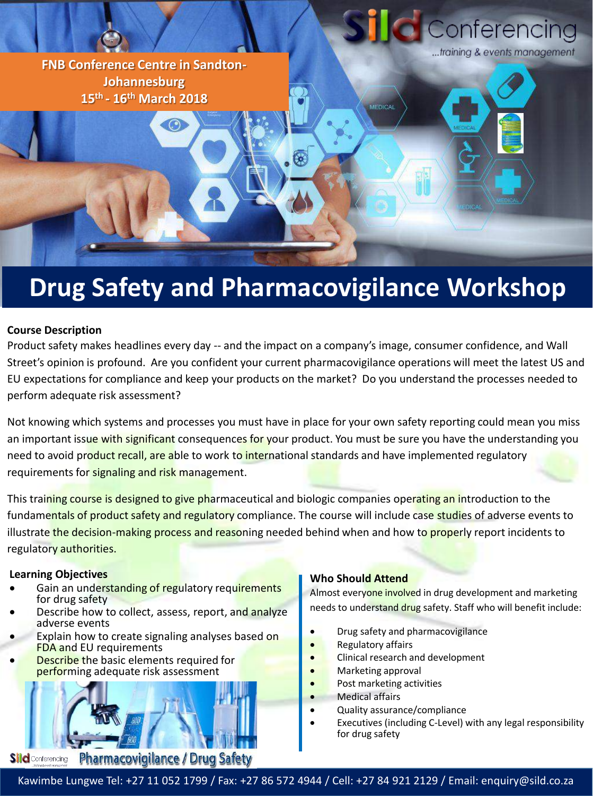

# **Drug Safety and Pharmacovigilance Workshop**

# **Course Description**

Product safety makes headlines every day -- and the impact on a company's image, consumer confidence, and Wall Street's opinion is profound. Are you confident your current pharmacovigilance operations will meet the latest US and EU expectations for compliance and keep your products on the market? Do you understand the processes needed to perform adequate risk assessment?

Not knowing which systems and processes you must have in place for your own safety reporting could mean you miss an important issue with significant consequences for your product. You must be sure you have the understanding you need to avoid product recall, are able to work to international standards and have implemented regulatory requirements for signaling and risk management.

This training course is designed to give pharmaceutical and biologic companies operating an introduction to the fundamentals of product safety and regulatory compliance. The course will include case studies of adverse events to illustrate the decision-making process and reasoning needed behind when and how to properly report incidents to regulatory authorities.

#### **Learning Objectives**

- Gain an understanding of regulatory requirements for drug safety
- Describe how to collect, assess, report, and analyze adverse events
- Explain how to create signaling analyses based on FDA and EU requirements
- Describe the basic elements required for performing adequate risk assessment



# **Who Should Attend**

Almost everyone involved in drug development and marketing needs to understand drug safety. Staff who will benefit include:

- Drug safety and pharmacovigilance
- Regulatory affairs
- Clinical research and development
- Marketing approval
- Post marketing activities
- Medical affairs
- Quality assurance/compliance
- Executives (including C-Level) with any legal responsibility for drug safety

Kawimbe Lungwe Tel: +27 11 052 1799 / Fax: +27 86 572 4944 / Cell: +27 84 921 2129 / Email: enquiry@sild.co.za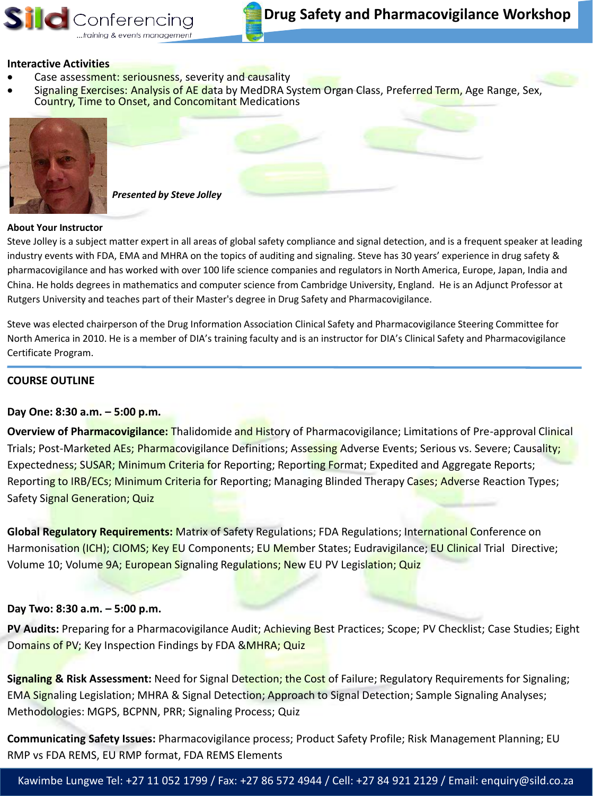#### **Interactive Activities**

- Case assessment: seriousness, severity and causality
- Signaling Exercises: Analysis of AE data by MedDRA System Organ Class, Preferred Term, Age Range, Sex, Country, Time to Onset, and Concomitant Medications



 *Presented by Steve Jolley*

#### **About Your Instructor**

Steve Jolley is a subject matter expert in all areas of global safety compliance and signal detection, and is a frequent speaker at leading industry events with FDA, EMA and MHRA on the topics of auditing and signaling. Steve has 30 years' experience in drug safety & pharmacovigilance and has worked with over 100 life science companies and regulators in North America, Europe, Japan, India and China. He holds degrees in mathematics and computer science from Cambridge University, England. He is an Adjunct Professor at Rutgers University and teaches part of their Master's degree in Drug Safety and Pharmacovigilance.

Steve was elected chairperson of the Drug Information Association Clinical Safety and Pharmacovigilance Steering Committee for North America in 2010. He is a member of DIA's training faculty and is an instructor for DIA's Clinical Safety and Pharmacovigilance Certificate Program.

#### **COURSE OUTLINE**

# **Day One: 8:30 a.m. – 5:00 p.m.**

**Overview of Pharmacovigilance:** Thalidomide and History of Pharmacovigilance; Limitations of Pre-approval Clinical Trials; Post-Marketed AEs; Pharmacovigilance Definitions; Assessing Adverse Events; Serious vs. Severe; Causality; Expectedness; SUSAR; Minimum Criteria for Reporting; Reporting Format; Expedited and Aggregate Reports; Reporting to IRB/ECs; Minimum Criteria for Reporting; Managing Blinded Therapy Cases; Adverse Reaction Types; Safety Signal Generation; Quiz

**Global Regulatory Requirements:** Matrix of Safety Regulations; FDA Regulations; International Conference on Harmonisation (ICH); CIOMS; Key EU Components; EU Member States; Eudravigilance; EU Clinical Trial Directive; Volume 10; Volume 9A; European Signaling Regulations; New EU PV Legislation; Quiz

# **Day Two: 8:30 a.m. – 5:00 p.m.**

**PV Audits:** Preparing for a Pharmacovigilance Audit; Achieving Best Practices; Scope; PV Checklist; Case Studies; Eight Domains of PV; Key Inspection Findings by FDA & MHRA; Quiz

**Signaling & Risk Assessment:** Need for Signal Detection; the Cost of Failure; Regulatory Requirements for Signaling; EMA Signaling Legislation; MHRA & Signal Detection; Approach to Signal Detection; Sample Signaling Analyses; Methodologies: MGPS, BCPNN, PRR; Signaling Process; Quiz

**Communicating Safety Issues:** Pharmacovigilance process; Product Safety Profile; Risk Management Planning; EU RMP vs FDA REMS, EU RMP format, FDA REMS Elements